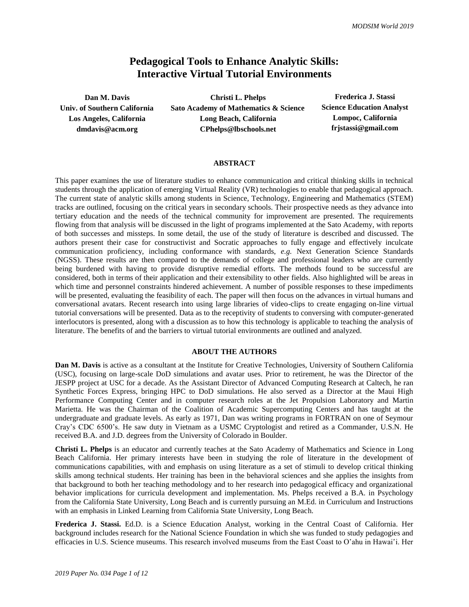# **Pedagogical Tools to Enhance Analytic Skills: Interactive Virtual Tutorial Environments**

**Dan M. Davis Christi L. Phelps Frederica J. Stassi Univ. of Southern California Sato Academy of Mathematics & Science Science Education Analyst Los Angeles, California Long Beach, California Lompoc, California dmdavis@acm.org CPhelps@lbschools.net frjstassi@gmail.com**

#### **ABSTRACT**

This paper examines the use of literature studies to enhance communication and critical thinking skills in technical students through the application of emerging Virtual Reality (VR) technologies to enable that pedagogical approach. The current state of analytic skills among students in Science, Technology, Engineering and Mathematics (STEM) tracks are outlined, focusing on the critical years in secondary schools. Their prospective needs as they advance into tertiary education and the needs of the technical community for improvement are presented. The requirements flowing from that analysis will be discussed in the light of programs implemented at the Sato Academy, with reports of both successes and missteps. In some detail, the use of the study of literature is described and discussed. The authors present their case for constructivist and Socratic approaches to fully engage and effectively inculcate communication proficiency, including conformance with standards, *e.g.* Next Generation Science Standards (NGSS). These results are then compared to the demands of college and professional leaders who are currently being burdened with having to provide disruptive remedial efforts. The methods found to be successful are considered, both in terms of their application and their extensibility to other fields. Also highlighted will be areas in which time and personnel constraints hindered achievement. A number of possible responses to these impediments will be presented, evaluating the feasibility of each. The paper will then focus on the advances in virtual humans and conversational avatars. Recent research into using large libraries of video-clips to create engaging on-line virtual tutorial conversations will be presented. Data as to the receptivity of students to conversing with computer-generated interlocutors is presented, along with a discussion as to how this technology is applicable to teaching the analysis of literature. The benefits of and the barriers to virtual tutorial environments are outlined and analyzed.

#### **ABOUT THE AUTHORS**

**Dan M. Davis** is active as a consultant at the Institute for Creative Technologies, University of Southern California (USC), focusing on large-scale DoD simulations and avatar uses. Prior to retirement, he was the Director of the JESPP project at USC for a decade. As the Assistant Director of Advanced Computing Research at Caltech, he ran Synthetic Forces Express, bringing HPC to DoD simulations. He also served as a Director at the Maui High Performance Computing Center and in computer research roles at the Jet Propulsion Laboratory and Martin Marietta. He was the Chairman of the Coalition of Academic Supercomputing Centers and has taught at the undergraduate and graduate levels. As early as 1971, Dan was writing programs in FORTRAN on one of Seymour Cray's CDC 6500's. He saw duty in Vietnam as a USMC Cryptologist and retired as a Commander, U.S.N. He received B.A. and J.D. degrees from the University of Colorado in Boulder.

**Christi L. Phelps** is an educator and currently teaches at the Sato Academy of Mathematics and Science in Long Beach California. Her primary interests have been in studying the role of literature in the development of communications capabilities, with and emphasis on using literature as a set of stimuli to develop critical thinking skills among technical students. Her training has been in the behavioral sciences and she applies the insights from that background to both her teaching methodology and to her research into pedagogical efficacy and organizational behavior implications for curricula development and implementation. Ms. Phelps received a B.A. in Psychology from the California State University, Long Beach and is currently pursuing an M.Ed. in Curriculum and Instructions with an emphasis in Linked Learning from California State University, Long Beach.

**Frederica J. Stassi.** Ed.D. is a Science Education Analyst, working in the Central Coast of California. Her background includes research for the National Science Foundation in which she was funded to study pedagogies and efficacies in U.S. Science museums. This research involved museums from the East Coast to O'ahu in Hawai'i. Her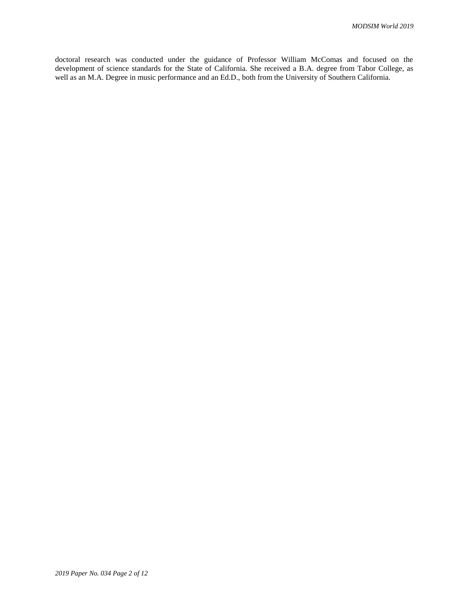doctoral research was conducted under the guidance of Professor William McComas and focused on the development of science standards for the State of California. She received a B.A. degree from Tabor College, as well as an M.A. Degree in music performance and an Ed.D., both from the University of Southern California.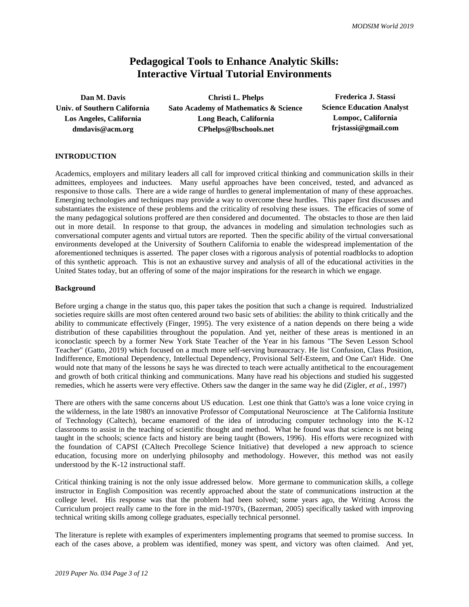# **Pedagogical Tools to Enhance Analytic Skills: Interactive Virtual Tutorial Environments**

| Christi L. Phelps                     | Frederica J. Stassi              |
|---------------------------------------|----------------------------------|
| Sato Academy of Mathematics & Science | <b>Science Education Analyst</b> |
| Long Beach, California                | Lompoc, California               |
| CPhelps@lbschools.net                 | frjstassi@gmail.com              |
|                                       |                                  |

## **INTRODUCTION**

Academics, employers and military leaders all call for improved critical thinking and communication skills in their admittees, employees and inductees. Many useful approaches have been conceived, tested, and advanced as responsive to those calls. There are a wide range of hurdles to general implementation of many of these approaches. Emerging technologies and techniques may provide a way to overcome these hurdles. This paper first discusses and substantiates the existence of these problems and the criticality of resolving these issues. The efficacies of some of the many pedagogical solutions proffered are then considered and documented. The obstacles to those are then laid out in more detail. In response to that group, the advances in modeling and simulation technologies such as conversational computer agents and virtual tutors are reported. Then the specific ability of the virtual conversational environments developed at the University of Southern California to enable the widespread implementation of the aforementioned techniques is asserted. The paper closes with a rigorous analysis of potential roadblocks to adoption of this synthetic approach. This is not an exhaustive survey and analysis of all of the educational activities in the United States today, but an offering of some of the major inspirations for the research in which we engage.

#### **Background**

Before urging a change in the status quo, this paper takes the position that such a change is required. Industrialized societies require skills are most often centered around two basic sets of abilities: the ability to think critically and the ability to communicate effectively (Finger, 1995). The very existence of a nation depends on there being a wide distribution of these capabilities throughout the population. And yet, neither of these areas is mentioned in an iconoclastic speech by a former New York State Teacher of the Year in his famous "The Seven Lesson School Teacher" (Gatto, 2019) which focused on a much more self-serving bureaucracy. He list Confusion, Class Position, Indifference, Emotional Dependency, Intellectual Dependency, Provisional Self-Esteem, and One Can't Hide. One would note that many of the lessons he says he was directed to teach were actually antithetical to the encouragement and growth of both critical thinking and communications. Many have read his objections and studied his suggested remedies, which he asserts were very effective. Others saw the danger in the same way he did (Zigler, *et al.*, 1997)

There are others with the same concerns about US education. Lest one think that Gatto's was a lone voice crying in the wilderness, in the late 1980's an innovative Professor of Computational Neuroscience at The California Institute of Technology (Caltech), became enamored of the idea of introducing computer technology into the K-12 classrooms to assist in the teaching of scientific thought and method. What he found was that science is not being taught in the schools; science facts and history are being taught (Bowers, 1996). His efforts were recognized with the foundation of CAPSI (CAltech Precollege Science Initiative) that developed a new approach to science education, focusing more on underlying philosophy and methodology. However, this method was not easily understood by the K-12 instructional staff.

Critical thinking training is not the only issue addressed below. More germane to communication skills, a college instructor in English Composition was recently approached about the state of communications instruction at the college level. His response was that the problem had been solved; some years ago, the Writing Across the Curriculum project really came to the fore in the mid-1970's, (Bazerman, 2005) specifically tasked with improving technical writing skills among college graduates, especially technical personnel.

The literature is replete with examples of experimenters implementing programs that seemed to promise success. In each of the cases above, a problem was identified, money was spent, and victory was often claimed. And yet,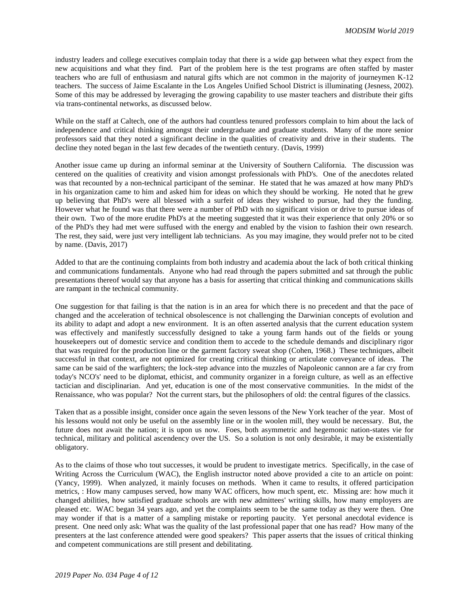industry leaders and college executives complain today that there is a wide gap between what they expect from the new acquisitions and what they find. Part of the problem here is the test programs are often staffed by master teachers who are full of enthusiasm and natural gifts which are not common in the majority of journeymen K-12 teachers. The success of Jaime Escalante in the Los Angeles Unified School District is illuminating (Jesness, 2002). Some of this may be addressed by leveraging the growing capability to use master teachers and distribute their gifts via trans-continental networks, as discussed below.

While on the staff at Caltech, one of the authors had countless tenured professors complain to him about the lack of independence and critical thinking amongst their undergraduate and graduate students. Many of the more senior professors said that they noted a significant decline in the qualities of creativity and drive in their students. The decline they noted began in the last few decades of the twentieth century. (Davis, 1999)

Another issue came up during an informal seminar at the University of Southern California. The discussion was centered on the qualities of creativity and vision amongst professionals with PhD's. One of the anecdotes related was that recounted by a non-technical participant of the seminar. He stated that he was amazed at how many PhD's in his organization came to him and asked him for ideas on which they should be working. He noted that he grew up believing that PhD's were all blessed with a surfeit of ideas they wished to pursue, had they the funding. However what he found was that there were a number of PhD with no significant vision or drive to pursue ideas of their own. Two of the more erudite PhD's at the meeting suggested that it was their experience that only 20% or so of the PhD's they had met were suffused with the energy and enabled by the vision to fashion their own research. The rest, they said, were just very intelligent lab technicians. As you may imagine, they would prefer not to be cited by name. (Davis, 2017)

Added to that are the continuing complaints from both industry and academia about the lack of both critical thinking and communications fundamentals. Anyone who had read through the papers submitted and sat through the public presentations thereof would say that anyone has a basis for asserting that critical thinking and communications skills are rampant in the technical community.

One suggestion for that failing is that the nation is in an area for which there is no precedent and that the pace of changed and the acceleration of technical obsolescence is not challenging the Darwinian concepts of evolution and its ability to adapt and adopt a new environment. It is an often asserted analysis that the current education system was effectively and manifestly successfully designed to take a young farm hands out of the fields or young housekeepers out of domestic service and condition them to accede to the schedule demands and disciplinary rigor that was required for the production line or the garment factory sweat shop (Cohen, 1968.) These techniques, albeit successful in that context, are not optimized for creating critical thinking or articulate conveyance of ideas. The same can be said of the warfighters; the lock-step advance into the muzzles of Napoleonic cannon are a far cry from today's NCO's' need to be diplomat, ethicist, and community organizer in a foreign culture, as well as an effective tactician and disciplinarian. And yet, education is one of the most conservative communities. In the midst of the Renaissance, who was popular? Not the current stars, but the philosophers of old: the central figures of the classics.

Taken that as a possible insight, consider once again the seven lessons of the New York teacher of the year. Most of his lessons would not only be useful on the assembly line or in the woolen mill, they would be necessary. But, the future does not await the nation; it is upon us now. Foes, both asymmetric and hegemonic nation-states vie for technical, military and political ascendency over the US. So a solution is not only desirable, it may be existentially obligatory.

As to the claims of those who tout successes, it would be prudent to investigate metrics. Specifically, in the case of Writing Across the Curriculum (WAC), the English instructor noted above provided a cite to an article on point: (Yancy, 1999). When analyzed, it mainly focuses on methods. When it came to results, it offered participation metrics, : How many campuses served, how many WAC officers, how much spent, etc. Missing are: how much it changed abilities, how satisfied graduate schools are with new admittees' writing skills, how many employers are pleased etc. WAC began 34 years ago, and yet the complaints seem to be the same today as they were then. One may wonder if that is a matter of a sampling mistake or reporting paucity. Yet personal anecdotal evidence is present. One need only ask: What was the quality of the last professional paper that one has read? How many of the presenters at the last conference attended were good speakers? This paper asserts that the issues of critical thinking and competent communications are still present and debilitating.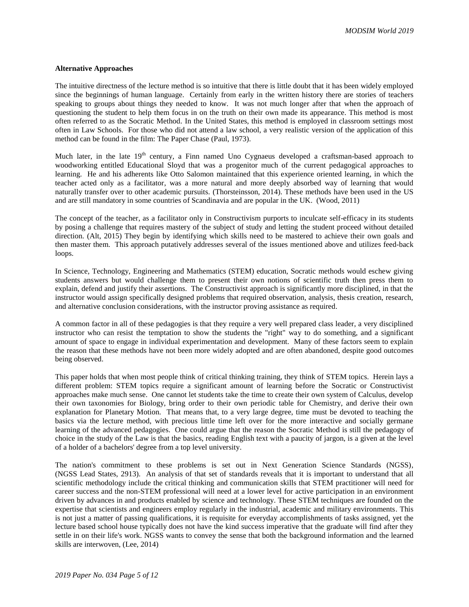## **Alternative Approaches**

The intuitive directness of the lecture method is so intuitive that there is little doubt that it has been widely employed since the beginnings of human language. Certainly from early in the written history there are stories of teachers speaking to groups about things they needed to know. It was not much longer after that when the approach of questioning the student to help them focus in on the truth on their own made its appearance. This method is most often referred to as the Socratic Method. In the United States, this method is employed in classroom settings most often in Law Schools. For those who did not attend a law school, a very realistic version of the application of this method can be found in the film: The Paper Chase (Paul, 1973).

Much later, in the late 19<sup>th</sup> century, a Finn named Uno Cygnaeus developed a craftsman-based approach to woodworking entitled Educational Sloyd that was a progenitor much of the current pedagogical approaches to learning. He and his adherents like Otto Salomon maintained that this experience oriented learning, in which the teacher acted only as a facilitator, was a more natural and more deeply absorbed way of learning that would naturally transfer over to other academic pursuits. (Thorsteinsson, 2014). These methods have been used in the US and are still mandatory in some countries of Scandinavia and are popular in the UK. (Wood, 2011)

The concept of the teacher, as a facilitator only in Constructivism purports to inculcate self-efficacy in its students by posing a challenge that requires mastery of the subject of study and letting the student proceed without detailed direction. (Alt, 2015) They begin by identifying which skills need to be mastered to achieve their own goals and then master them. This approach putatively addresses several of the issues mentioned above and utilizes feed-back loops.

In Science, Technology, Engineering and Mathematics (STEM) education, Socratic methods would eschew giving students answers but would challenge them to present their own notions of scientific truth then press them to explain, defend and justify their assertions. The Constructivist approach is significantly more disciplined, in that the instructor would assign specifically designed problems that required observation, analysis, thesis creation, research, and alternative conclusion considerations, with the instructor proving assistance as required.

A common factor in all of these pedagogies is that they require a very well prepared class leader, a very disciplined instructor who can resist the temptation to show the students the "right" way to do something, and a significant amount of space to engage in individual experimentation and development. Many of these factors seem to explain the reason that these methods have not been more widely adopted and are often abandoned, despite good outcomes being observed.

This paper holds that when most people think of critical thinking training, they think of STEM topics. Herein lays a different problem: STEM topics require a significant amount of learning before the Socratic or Constructivist approaches make much sense. One cannot let students take the time to create their own system of Calculus, develop their own taxonomies for Biology, bring order to their own periodic table for Chemistry, and derive their own explanation for Planetary Motion. That means that, to a very large degree, time must be devoted to teaching the basics via the lecture method, with precious little time left over for the more interactive and socially germane learning of the advanced pedagogies. One could argue that the reason the Socratic Method is still the pedagogy of choice in the study of the Law is that the basics, reading English text with a paucity of jargon, is a given at the level of a holder of a bachelors' degree from a top level university.

The nation's commitment to these problems is set out in Next Generation Science Standards (NGSS), (NGSS Lead States, 2913). An analysis of that set of standards reveals that it is important to understand that all scientific methodology include the critical thinking and communication skills that STEM practitioner will need for career success and the non-STEM professional will need at a lower level for active participation in an environment driven by advances in and products enabled by science and technology. These STEM techniques are founded on the expertise that scientists and engineers employ regularly in the industrial, academic and military environments. This is not just a matter of passing qualifications, it is requisite for everyday accomplishments of tasks assigned, yet the lecture based school house typically does not have the kind success imperative that the graduate will find after they settle in on their life's work. NGSS wants to convey the sense that both the background information and the learned skills are interwoven, (Lee, 2014)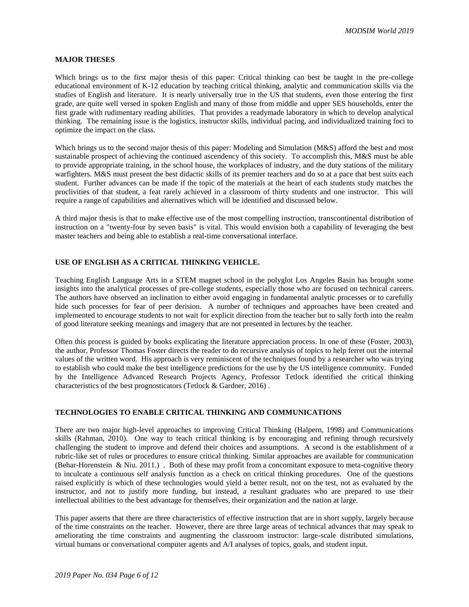# **MAJOR THESES**

Which brings us to the first major thesis of this paper: Critical thinking can best be taught in the pre-college educational environment of K-12 education by teaching critical thinking, analytic and communication skills via the studies of English and literature. It is nearly universally true in the US that students, even those entering the first grade, are quite well versed in spoken English and many of those from middle and upper SES households, enter the first grade with rudimentary reading abilities. That provides a readymade laboratory in which to develop analytical thinking. The remaining issue is the logistics, instructor skills, individual pacing, and individualized training foci to optimize the impact on the class.

Which brings us to the second major thesis of this paper: Modeling and Simulation (M&S) afford the best and most sustainable prospect of achieving the continued ascendency of this society. To accomplish this, M&S must be able to provide appropriate training, in the school house, the workplaces of industry, and the duty stations of the military warfighters. M&S must present the best didactic skills of its premier teachers and do so at a pace that best suits each student. Further advances can be made if the topic of the materials at the heart of each students study matches the proclivities of that student, a feat rarely achieved in a classroom of thirty students and one instructor. This will require a range of capabilities and alternatives which will be identified and discussed below.

A third major thesis is that to make effective use of the most compelling instruction, transcontinental distribution of instruction on a "twenty-four by seven basis" is vital. This would envision both a capability of leveraging the best master teachers and being able to establish a real-time conversational interface.

# **USE OF ENGLISH AS A CRITICAL THINKING VEHICLE.**

Teaching English Language Arts in a STEM magnet school in the polyglot Los Angeles Basin has brought some insights into the analytical processes of pre-college students, especially those who are focused on technical careers. The authors have observed an inclination to either avoid engaging in fundamental analytic processes or to carefully hide such processes for fear of peer derision. A number of techniques and approaches have been created and implemented to encourage students to not wait for explicit direction from the teacher but to sally forth into the realm of good literature seeking meanings and imagery that are not presented in lectures by the teacher.

Often this process is guided by books explicating the literature appreciation process. In one of these (Foster, 2003), the author, Professor Thomas Foster directs the reader to do recursive analysis of topics to help ferret out the internal values of the written word. His approach is very reminiscent of the techniques found by a researcher who was trying to establish who could make the best intelligence predictions for the use by the US intelligence community. Funded by the Intelligence Advanced Research Projects Agency, Professor Tetlock identified the critical thinking characteristics of the best prognosticators (Tetlock & Gardner, 2016) .

# **TECHNOLOGIES TO ENABLE CRITICAL THINKING AND COMMUNICATIONS**

There are two major high-level approaches to improving Critical Thinking (Halpern, 1998) and Communications skills (Rahman, 2010). One way to teach critical thinking is by encouraging and refining through recursively challenging the student to improve and defend their choices and assumptions. A second is the establishment of a rubric-like set of rules or procedures to ensure critical thinking. Similar approaches are available for communication (Behar-Horenstein  $\&$  Niu. 2011.). Both of these may profit from a concomitant exposure to meta-cognitive theory to inculcate a continuous self analysis function as a check on critical thinking procedures. One of the questions raised explicitly is which of these technologies would yield a better result, not on the test, not as evaluated by the instructor, and not to justify more funding, but instead, a resultant graduates who are prepared to use their intellectual abilities to the best advantage for themselves, their organization and the nation at large.

This paper asserts that there are three characteristics of effective instruction that are in short supply, largely because of the time constraints on the teacher. However, there are three large areas of technical advances that may speak to ameliorating the time constraints and augmenting the classroom instructor: large-scale distributed simulations, virtual humans or conversational computer agents and A/I analyses of topics, goals, and student input.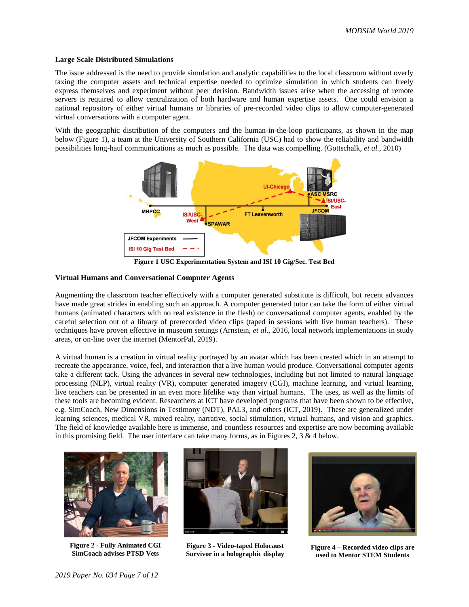## **Large Scale Distributed Simulations**

The issue addressed is the need to provide simulation and analytic capabilities to the local classroom without overly taxing the computer assets and technical expertise needed to optimize simulation in which students can freely express themselves and experiment without peer derision. Bandwidth issues arise when the accessing of remote servers is required to allow centralization of both hardware and human expertise assets. One could envision a national repository of either virtual humans or libraries of pre-recorded video clips to allow computer-generated virtual conversations with a computer agent.

With the geographic distribution of the computers and the human-in-the-loop participants, as shown in the map below [\(Figure 1\)](#page-6-0), a team at the University of Southern California (USC) had to show the reliability and bandwidth possibilities long-haul communications as much as possible. The data was compelling. (Gottschalk, *et al.,* 2010)



**Figure 1 USC Experimentation System and ISI 10 Gig/Sec. Test Bed**

# <span id="page-6-0"></span>**Virtual Humans and Conversational Computer Agents**

Augmenting the classroom teacher effectively with a computer generated substitute is difficult, but recent advances have made great strides in enabling such an approach. A computer generated tutor can take the form of either virtual humans (animated characters with no real existence in the flesh) or conversational computer agents, enabled by the careful selection out of a library of prerecorded video clips (taped in sessions with live human teachers). These techniques have proven effective in museum settings (Arnstein, *et al*., 2016, local network implementations in study areas, or on-line over the internet (MentorPal, 2019).

A virtual human is a creation in virtual reality portrayed by an avatar which has been created which in an attempt to recreate the appearance, voice, feel, and interaction that a live human would produce. Conversational computer agents take a different tack. Using the advances in several new technologies, including but not limited to natural language processing (NLP), virtual reality (VR), computer generated imagery (CGI), machine learning, and virtual learning, live teachers can be presented in an even more lifelike way than virtual humans. The uses, as well as the limits of these tools are becoming evident. Researchers at ICT have developed programs that have been shown to be effective, e.g. SimCoach, New Dimensions in Testimony (NDT), PAL3, and others (ICT, 2019). These are generalized under learning sciences, medical VR, mixed reality, narrative, social stimulation, virtual humans, and vision and graphics. The field of knowledge available here is immense, and countless resources and expertise are now becoming available in this promising field. The user interface can take many forms, as in Figures 2,  $3 \& 4$  below.



**Figure 2 - Fully Animated CGI SimCoach advises PTSD Vets**



**Figure 3 - Video-taped Holocaust Survivor in a holographic display**



**Figure 4 – Recorded video clips are used to Mentor STEM Students**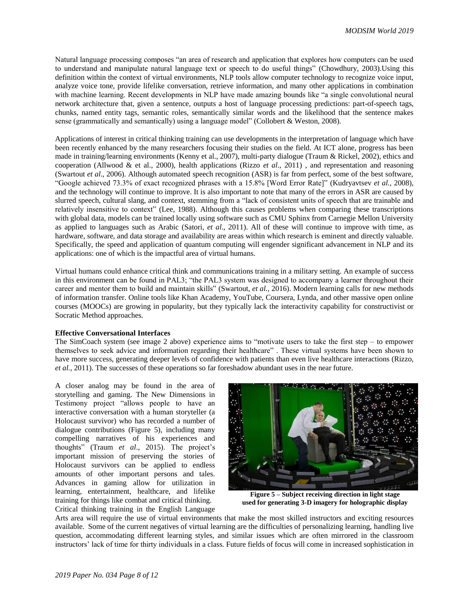Natural language processing composes "an area of research and application that explores how computers can be used to understand and manipulate natural language text or speech to do useful things" (Chowdhury, 2003).Using this definition within the context of virtual environments, NLP tools allow computer technology to recognize voice input, analyze voice tone, provide lifelike conversation, retrieve information, and many other applications in combination with machine learning. Recent developments in NLP have made amazing bounds like "a single convolutional neural network architecture that, given a sentence, outputs a host of language processing predictions: part-of-speech tags, chunks, named entity tags, semantic roles, semantically similar words and the likelihood that the sentence makes sense (grammatically and semantically) using a language model" (Collobert & Weston, 2008).

Applications of interest in critical thinking training can use developments in the interpretation of language which have been recently enhanced by the many researchers focusing their studies on the field. At ICT alone, progress has been made in training/learning environments (Kenny et al., 2007), multi-party dialogue (Traum & Rickel, 2002), ethics and cooperation (Allwood & et al., 2000), health applications (Rizzo *et al*., 2011) , and representation and reasoning (Swartout *et al*., 2006). Although automated speech recognition (ASR) is far from perfect, some of the best software, "Google achieved 73.3% of exact recognized phrases with a 15.8% [Word Error Rate]" (Kudryavtsev *et al.,* 2008), and the technology will continue to improve. It is also important to note that many of the errors in ASR are caused by slurred speech, cultural slang, and context, stemming from a "lack of consistent units of speech that are trainable and relatively insensitive to context" (Lee, 1988). Although this causes problems when comparing these transcriptions with global data, models can be trained locally using software such as CMU Sphinx from Carnegie Mellon University as applied to languages such as Arabic (Satori, *et al*., 2011). All of these will continue to improve with time, as hardware, software, and data storage and availability are areas within which research is eminent and directly valuable. Specifically, the speed and application of quantum computing will engender significant advancement in NLP and its applications: one of which is the impactful area of virtual humans.

Virtual humans could enhance critical think and communications training in a military setting. An example of success in this environment can be found in PAL3; "the PAL3 system was designed to accompany a learner throughout their career and mentor them to build and maintain skills" (Swartout, *et al.,* 2016). Modern learning calls for new methods of information transfer. Online tools like Khan Academy, YouTube, Coursera, Lynda, and other massive open online courses (MOOCs) are growing in popularity, but they typically lack the interactivity capability for constructivist or Socratic Method approaches.

### **Effective Conversational Interfaces**

The SimCoach system (see image 2 above) experience aims to "motivate users to take the first step – to empower themselves to seek advice and information regarding their healthcare" . These virtual systems have been shown to have more success, generating deeper levels of confidence with patients than even live healthcare interactions (Rizzo, *et al.,* 2011). The successes of these operations so far foreshadow abundant uses in the near future.

A closer analog may be found in the area of storytelling and gaming. The New Dimensions in Testimony project "allows people to have an interactive conversation with a human storyteller (a Holocaust survivor) who has recorded a number of dialogue contributions [\(Figure 5\)](#page-7-0), including many compelling narratives of his experiences and thoughts" (Traum *et al*., 2015). The project's important mission of preserving the stories of Holocaust survivors can be applied to endless amounts of other important persons and tales. Advances in gaming allow for utilization in learning, entertainment, healthcare, and lifelike training for things like combat and critical thinking. Critical thinking training in the English Language

<span id="page-7-0"></span>

**Figure 5 – Subject receiving direction in light stage used for generating 3-D imagery for holographic display**

Arts area will require the use of virtual environments that make the most skilled instructors and exciting resources available. Some of the current negatives of virtual learning are the difficulties of personalizing learning, handling live question, accommodating different learning styles, and similar issues which are often mirrored in the classroom instructors' lack of time for thirty individuals in a class. Future fields of focus will come in increased sophistication in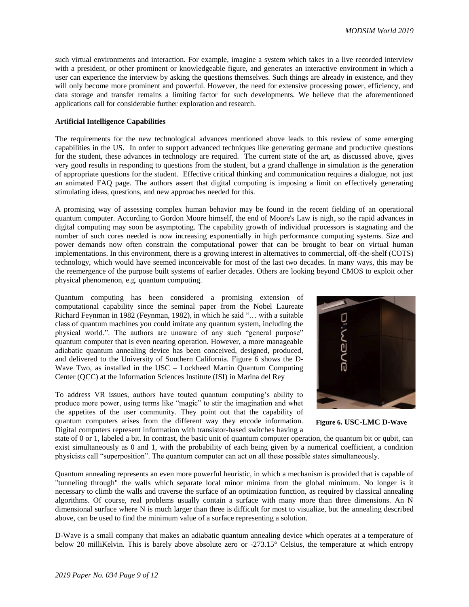such virtual environments and interaction. For example, imagine a system which takes in a live recorded interview with a president, or other prominent or knowledgeable figure, and generates an interactive environment in which a user can experience the interview by asking the questions themselves. Such things are already in existence, and they will only become more prominent and powerful. However, the need for extensive processing power, efficiency, and data storage and transfer remains a limiting factor for such developments. We believe that the aforementioned applications call for considerable further exploration and research.

## **Artificial Intelligence Capabilities**

The requirements for the new technological advances mentioned above leads to this review of some emerging capabilities in the US. In order to support advanced techniques like generating germane and productive questions for the student, these advances in technology are required. The current state of the art, as discussed above, gives very good results in responding to questions from the student, but a grand challenge in simulation is the generation of appropriate questions for the student. Effective critical thinking and communication requires a dialogue, not just an animated FAQ page. The authors assert that digital computing is imposing a limit on effectively generating stimulating ideas, questions, and new approaches needed for this.

A promising way of assessing complex human behavior may be found in the recent fielding of an operational quantum computer. According to Gordon Moore himself, the end of Moore's Law is nigh, so the rapid advances in digital computing may soon be asymptoting. The capability growth of individual processors is stagnating and the number of such cores needed is now increasing exponentially in high performance computing systems. Size and power demands now often constrain the computational power that can be brought to bear on virtual human implementations. In this environment, there is a growing interest in alternatives to commercial, off-the-shelf (COTS) technology, which would have seemed inconceivable for most of the last two decades. In many ways, this may be the reemergence of the purpose built systems of earlier decades. Others are looking beyond CMOS to exploit other physical phenomenon, e.g. quantum computing.

Quantum computing has been considered a promising extension of computational capability since the seminal paper from the Nobel Laureate Richard Feynman in 1982 (Feynman, 1982), in which he said "… with a suitable class of quantum machines you could imitate any quantum system, including the physical world.". The authors are unaware of any such "general purpose" quantum computer that is even nearing operation. However, a more manageable adiabatic quantum annealing device has been conceived, designed, produced, and delivered to the University of Southern California. [Figure 6](#page-8-0) shows the D-Wave Two, as installed in the USC – Lockheed Martin Quantum Computing Center (QCC) at the Information Sciences Institute (ISI) in Marina del Rey

To address VR issues, authors have touted quantum computing's ability to produce more power, using terms like "magic" to stir the imagination and whet the appetites of the user community. They point out that the capability of quantum computers arises from the different way they encode information. Digital computers represent information with transistor-based switches having a

<span id="page-8-0"></span>

**Figure 6. USC-LMC D-Wave** 

state of 0 or 1, labeled a bit. In contrast, the basic unit of quantum computer operation, the quantum bit or qubit, can exist simultaneously as 0 and 1, with the probability of each being given by a numerical coefficient, a condition physicists call "superposition". The quantum computer can act on all these possible states simultaneously.

Quantum annealing represents an even more powerful heuristic, in which a mechanism is provided that is capable of "tunneling through" the walls which separate local minor minima from the global minimum. No longer is it necessary to climb the walls and traverse the surface of an optimization function, as required by classical annealing algorithms. Of course, real problems usually contain a surface with many more than three dimensions. An N dimensional surface where N is much larger than three is difficult for most to visualize, but the annealing described above, can be used to find the minimum value of a surface representing a solution.

D-Wave is a small company that makes an adiabatic quantum annealing device which operates at a temperature of below 20 milliKelvin. This is barely above absolute zero or -273.15° Celsius, the temperature at which entropy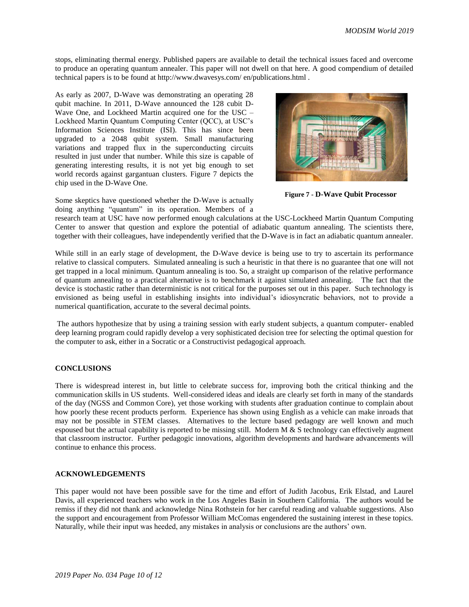stops, eliminating thermal energy. Published papers are available to detail the technical issues faced and overcome to produce an operating quantum annealer. This paper will not dwell on that here. A good compendium of detailed technical papers is to be found at http://www.dwavesys.com/ en/publications.html .

As early as 2007, D-Wave was demonstrating an operating 28 qubit machine. In 2011, D-Wave announced the 128 cubit D-Wave One, and Lockheed Martin acquired one for the USC – Lockheed Martin Quantum Computing Center (QCC), at USC's Information Sciences Institute (ISI). This has since been upgraded to a 2048 qubit system. Small manufacturing variations and trapped flux in the superconducting circuits resulted in just under that number. While this size is capable of generating interesting results, it is not yet big enough to set world records against gargantuan clusters. [Figure 7](#page-9-0) depicts the chip used in the D-Wave One.

<span id="page-9-0"></span>

**Figure 7 - D-Wave Qubit Processor**

Some skeptics have questioned whether the D-Wave is actually doing anything "quantum" in its operation. Members of a

research team at USC have now performed enough calculations at the USC-Lockheed Martin Quantum Computing Center to answer that question and explore the potential of adiabatic quantum annealing. The scientists there, together with their colleagues, have independently verified that the D-Wave is in fact an adiabatic quantum annealer.

While still in an early stage of development, the D-Wave device is being use to try to ascertain its performance relative to classical computers. Simulated annealing is such a heuristic in that there is no guarantee that one will not get trapped in a local minimum. Quantum annealing is too. So, a straight up comparison of the relative performance of quantum annealing to a practical alternative is to benchmark it against simulated annealing. The fact that the device is stochastic rather than deterministic is not critical for the purposes set out in this paper. Such technology is envisioned as being useful in establishing insights into individual's idiosyncratic behaviors, not to provide a numerical quantification, accurate to the several decimal points.

The authors hypothesize that by using a training session with early student subjects, a quantum computer- enabled deep learning program could rapidly develop a very sophisticated decision tree for selecting the optimal question for the computer to ask, either in a Socratic or a Constructivist pedagogical approach.

# **CONCLUSIONS**

There is widespread interest in, but little to celebrate success for, improving both the critical thinking and the communication skills in US students. Well-considered ideas and ideals are clearly set forth in many of the standards of the day (NGSS and Common Core), yet those working with students after graduation continue to complain about how poorly these recent products perform. Experience has shown using English as a vehicle can make inroads that may not be possible in STEM classes. Alternatives to the lecture based pedagogy are well known and much espoused but the actual capability is reported to be missing still. Modern M & S technology can effectively augment that classroom instructor. Further pedagogic innovations, algorithm developments and hardware advancements will continue to enhance this process.

# **ACKNOWLEDGEMENTS**

This paper would not have been possible save for the time and effort of Judith Jacobus, Erik Elstad, and Laurel Davis, all experienced teachers who work in the Los Angeles Basin in Southern California. The authors would be remiss if they did not thank and acknowledge Nina Rothstein for her careful reading and valuable suggestions. Also the support and encouragement from Professor William McComas engendered the sustaining interest in these topics. Naturally, while their input was heeded, any mistakes in analysis or conclusions are the authors' own.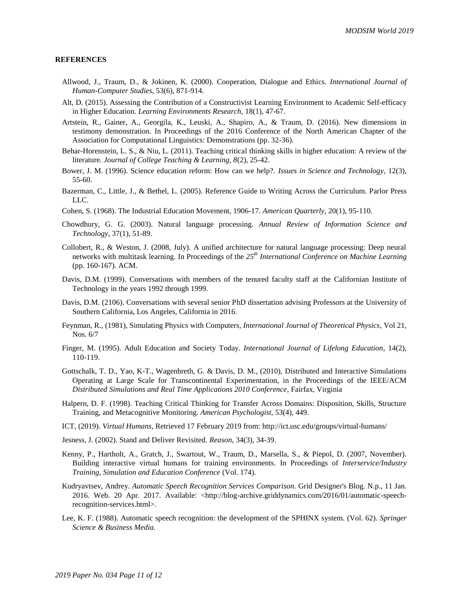#### **REFERENCES**

- Allwood, J., Traum, D., & Jokinen, K. (2000). Cooperation, Dialogue and Ethics. *International Journal of Human-Computer Studies*, 53(6), 871-914.
- Alt, D. (2015). Assessing the Contribution of a Constructivist Learning Environment to Academic Self-efficacy in Higher Education. *Learning Environments Research,* 18(1), 47-67.
- Artstein, R., Gainer, A., Georgila, K., Leuski, A., Shapiro, A., & Traum, D. (2016). New dimensions in testimony demonstration. In Proceedings of the 2016 Conference of the North American Chapter of the Association for Computational Linguistics: Demonstrations (pp. 32-36).
- Behar-Horenstein, L. S., & Niu, L. (2011). Teaching critical thinking skills in higher education: A review of the literature. *Journal of College Teaching & Learning, 8*(2), 25-42.
- Bower, J. M. (1996). Science education reform: How can we help?. *Issues in Science and Technology*, 12(3), 55-60.
- Bazerman, C., Little, J., & Bethel, L. (2005). Reference Guide to Writing Across the Curriculum. Parlor Press LLC.
- Cohen, S. (1968). The Industrial Education Movement, 1906-17. *American Quarterly,* 20(1), 95-110.
- Chowdhury, G. G. (2003). Natural language processing. *Annual Review of Information Science and Technology*, 37(1), 51-89.
- Collobert, R., & Weston, J. (2008, July). A unified architecture for natural language processing: Deep neural networks with multitask learning. In Proceedings of the *25th International Conference on Machine Learning* (pp. 160-167). ACM.
- Davis, D.M. (1999). Conversations with members of the tenured faculty staff at the Californian Institute of Technology in the years 1992 through 1999.
- Davis, D.M. (2106). Conversations with several senior PhD dissertation advising Professors at the University of Southern California, Los Angeles, California in 2016.
- Feynman, R., (1981), Simulating Physics with Computers*, International Journal of Theoretical Physics*, Vol 21, Nos. 6/7
- Finger, M. (1995). Adult Education and Society Today. *International Journal of Lifelong Education*, 14(2), 110-119.
- Gottschalk, T. D., Yao, K-T., Wagenbreth, G. & Davis, D. M., (2010), Distributed and Interactive Simulations Operating at Large Scale for Transcontinental Experimentation, in the Proceedings of the IEEE/ACM *Distributed Simulations and Real Time Applications 2010 Conference*, Fairfax, Virginia
- Halpern, D. F. (1998). Teaching Critical Thinking for Transfer Across Domains: Disposition, Skills, Structure Training, and Metacognitive Monitoring. *American Psychologist,* 53(4), 449.
- ICT, (2019). *Virtual Humans*, Retrieved 17 February 2019 from: http://ict.usc.edu/groups/virtual-humans/
- Jesness, J. (2002). Stand and Deliver Revisited. *Reason*, 34(3), 34-39.
- Kenny, P., Hartholt, A., Gratch, J., Swartout, W., Traum, D., Marsella, S., & Piepol, D. (2007, November). Building interactive virtual humans for training environments. In Proceedings of *Interservice/Industry Training, Simulation and Education Conference* (Vol. 174).
- Kudryavtsev, Andrey. *Automatic Speech Recognition Services Comparison*. Grid Designer's Blog. N.p., 11 Jan. 2016. Web. 20 Apr. 2017. Available: <http://blog-archive.griddynamics.com/2016/01/automatic-speechrecognition-services.html>.
- Lee, K. F. (1988). Automatic speech recognition: the development of the SPHINX system. (Vol. 62). *Springer Science & Business Media.*